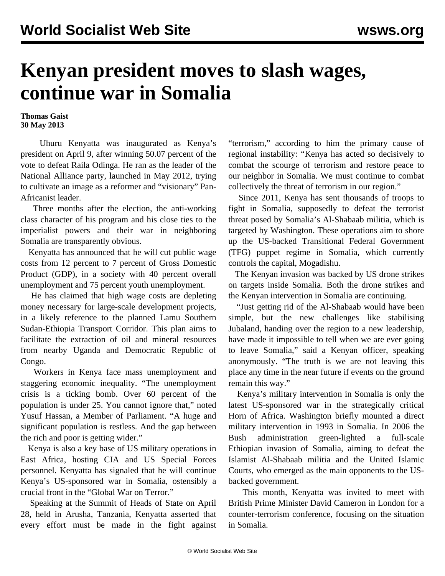## **Kenyan president moves to slash wages, continue war in Somalia**

## **Thomas Gaist 30 May 2013**

 Uhuru Kenyatta was inaugurated as Kenya's president on April 9, after winning 50.07 percent of the vote to defeat Raila Odinga. He ran as the leader of the National Alliance party, launched in May 2012, trying to cultivate an image as a reformer and "visionary" Pan-Africanist leader.

 Three months after the election, the anti-working class character of his program and his close ties to the imperialist powers and their war in neighboring Somalia are transparently obvious.

 Kenyatta has announced that he will cut public wage costs from 12 percent to 7 percent of Gross Domestic Product (GDP), in a society with 40 percent overall unemployment and 75 percent youth unemployment.

 He has claimed that high wage costs are depleting money necessary for large-scale development projects, in a likely reference to the planned Lamu Southern Sudan-Ethiopia Transport Corridor. This plan aims to facilitate the extraction of oil and mineral resources from nearby Uganda and Democratic Republic of Congo.

 Workers in Kenya face mass unemployment and staggering economic inequality. "The unemployment crisis is a ticking bomb. Over 60 percent of the population is under 25. You cannot ignore that," noted Yusuf Hassan, a Member of Parliament. "A huge and significant population is restless. And the gap between the rich and poor is getting wider."

 Kenya is also a key base of US military operations in East Africa, hosting CIA and US Special Forces personnel. Kenyatta has signaled that he will continue Kenya's US-sponsored war in Somalia, ostensibly a crucial front in the "Global War on Terror."

 Speaking at the Summit of Heads of State on April 28, held in Arusha, Tanzania, Kenyatta asserted that every effort must be made in the fight against

"terrorism," according to him the primary cause of regional instability: "Kenya has acted so decisively to combat the scourge of terrorism and restore peace to our neighbor in Somalia. We must continue to combat collectively the threat of terrorism in our region."

 Since 2011, Kenya has sent thousands of troops to fight in Somalia, supposedly to defeat the terrorist threat posed by Somalia's Al-Shabaab militia, which is targeted by Washington. These operations aim to shore up the US-backed Transitional Federal Government (TFG) puppet regime in Somalia, which currently controls the capital, Mogadishu.

 The Kenyan invasion was backed by US drone strikes on targets inside Somalia. Both the drone strikes and the Kenyan intervention in Somalia are continuing.

 "Just getting rid of the Al-Shabaab would have been simple, but the new challenges like stabilising Jubaland, handing over the region to a new leadership, have made it impossible to tell when we are ever going to leave Somalia," said a Kenyan officer, speaking anonymously. "The truth is we are not leaving this place any time in the near future if events on the ground remain this way."

 Kenya's military intervention in Somalia is only the latest US-sponsored war in the strategically critical Horn of Africa. Washington briefly mounted a direct military intervention in 1993 in Somalia. In 2006 the Bush administration green-lighted a full-scale Ethiopian invasion of Somalia, aiming to defeat the Islamist Al-Shabaab militia and the United Islamic Courts, who emerged as the main opponents to the USbacked government.

 This month, Kenyatta was invited to meet with British Prime Minister David Cameron in London for a counter-terrorism conference, focusing on the situation in Somalia.